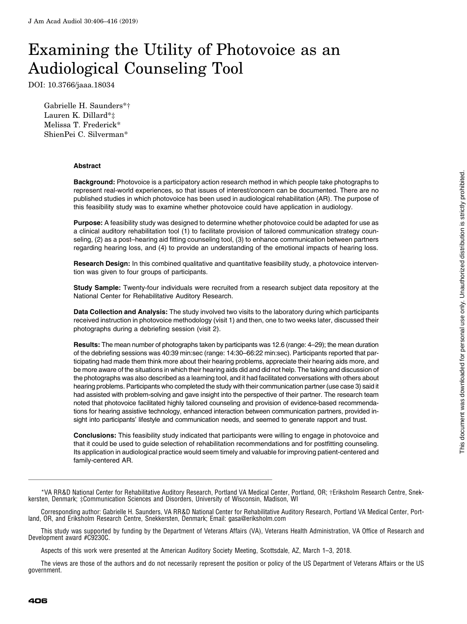# Examining the Utility of Photovoice as an Audiological Counseling Tool

DOI: 10.3766/jaaa.18034

Gabrielle H. Saunders\*† Lauren K. Dillard\*‡ Melissa T. Frederick\* ShienPei C. Silverman\*

#### Abstract

Background: Photovoice is a participatory action research method in which people take photographs to represent real-world experiences, so that issues of interest/concern can be documented. There are no published studies in which photovoice has been used in audiological rehabilitation (AR). The purpose of this feasibility study was to examine whether photovoice could have application in audiology.

Purpose: A feasibility study was designed to determine whether photovoice could be adapted for use as a clinical auditory rehabilitation tool (1) to facilitate provision of tailored communication strategy counseling, (2) as a post–hearing aid fitting counseling tool, (3) to enhance communication between partners regarding hearing loss, and (4) to provide an understanding of the emotional impacts of hearing loss.

Research Design: In this combined qualitative and quantitative feasibility study, a photovoice intervention was given to four groups of participants.

Study Sample: Twenty-four individuals were recruited from a research subject data repository at the National Center for Rehabilitative Auditory Research.

Data Collection and Analysis: The study involved two visits to the laboratory during which participants received instruction in photovoice methodology (visit 1) and then, one to two weeks later, discussed their photographs during a debriefing session (visit 2).

Results: The mean number of photographs taken by participants was 12.6 (range: 4–29); the mean duration of the debriefing sessions was 40:39 min:sec (range: 14:30–66:22 min:sec). Participants reported that participating had made them think more about their hearing problems, appreciate their hearing aids more, and be more aware of the situations in which their hearing aids did and did not help. The taking and discussion of the photographs was also described as a learning tool, and it had facilitated conversations with others about hearing problems. Participants who completed the study with their communication partner (use case 3) said it had assisted with problem-solving and gave insight into the perspective of their partner. The research team noted that photovoice facilitated highly tailored counseling and provision of evidence-based recommendations for hearing assistive technology, enhanced interaction between communication partners, provided insight into participants' lifestyle and communication needs, and seemed to generate rapport and trust.

Conclusions: This feasibility study indicated that participants were willing to engage in photovoice and that it could be used to guide selection of rehabilitation recommendations and for postfitting counseling. Its application in audiological practice would seem timely and valuable for improving patient-centered and family-centered AR.

Corresponding author: Gabrielle H. Saunders, VA RR&D National Center for Rehabilitative Auditory Research, Portland VA Medical Center, Portland, OR, and Eriksholm Research Centre, Snekkersten, Denmark; Email: [gasa@eriksholm.com](mailto:gasa@eriksholm.com)

This study was supported by funding by the Department of Veterans Affairs (VA), Veterans Health Administration, VA Office of Research and Development award #C9230C.

Aspects of this work were presented at the American Auditory Society Meeting, Scottsdale, AZ, March 1–3, 2018.

The views are those of the authors and do not necessarily represent the position or policy of the US Department of Veterans Affairs or the US government.

<sup>\*</sup>VA RR&D National Center for Rehabilitative Auditory Research, Portland VA Medical Center, Portland, OR; †Eriksholm Research Centre, Snekkersten, Denmark; ‡Communication Sciences and Disorders, University of Wisconsin, Madison, WI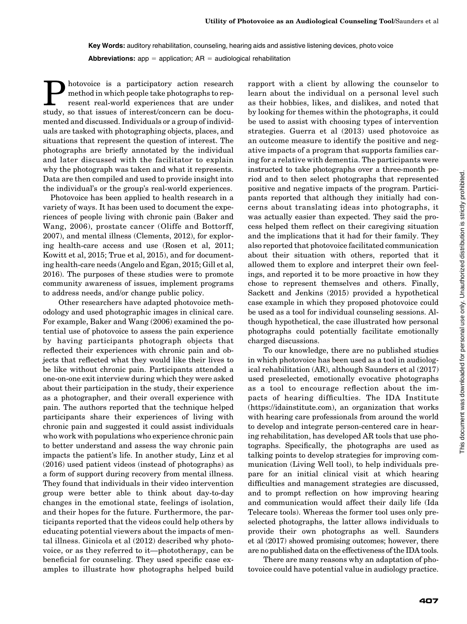Key Words: auditory rehabilitation, counseling, hearing aids and assistive listening devices, photo voice **Abbreviations:** app = application;  $AR =$  audiological rehabilitation

**Photovoice** is a participatory action research<br>
resent real-world experiences that are under<br>
study so that issues of interest/concern can be documethod in which people take photographs to repstudy, so that issues of interest/concern can be documented and discussed. Individuals or a group of individuals are tasked with photographing objects, places, and situations that represent the question of interest. The photographs are briefly annotated by the individual and later discussed with the facilitator to explain why the photograph was taken and what it represents. Data are then compiled and used to provide insight into the individual's or the group's real-world experiences.

Photovoice has been applied to health research in a variety of ways. It has been used to document the experiences of people living with chronic pain (Baker and Wang, 2006), prostate cancer (Oliffe and Bottorff, 2007), and mental illness (Clements, 2012), for exploring health-care access and use (Rosen et al, 2011; Kowitt et al, 2015; True et al, 2015), and for documenting health-care needs (Angelo and Egan, 2015; Gill et al, 2016). The purposes of these studies were to promote community awareness of issues, implement programs to address needs, and/or change public policy.

Other researchers have adapted photovoice methodology and used photographic images in clinical care. For example, Baker and Wang (2006) examined the potential use of photovoice to assess the pain experience by having participants photograph objects that reflected their experiences with chronic pain and objects that reflected what they would like their lives to be like without chronic pain. Participants attended a one-on-one exit interview during which they were asked about their participation in the study, their experience as a photographer, and their overall experience with pain. The authors reported that the technique helped participants share their experiences of living with chronic pain and suggested it could assist individuals who work with populations who experience chronic pain to better understand and assess the way chronic pain impacts the patient's life. In another study, Linz et al (2016) used patient videos (instead of photographs) as a form of support during recovery from mental illness. They found that individuals in their video intervention group were better able to think about day-to-day changes in the emotional state, feelings of isolation, and their hopes for the future. Furthermore, the participants reported that the videos could help others by educating potential viewers about the impacts of mental illness. Ginicola et al (2012) described why photovoice, or as they referred to it—phototherapy, can be beneficial for counseling. They used specific case examples to illustrate how photographs helped build

rapport with a client by allowing the counselor to learn about the individual on a personal level such as their hobbies, likes, and dislikes, and noted that by looking for themes within the photographs, it could be used to assist with choosing types of intervention strategies. Guerra et al (2013) used photovoice as an outcome measure to identify the positive and negative impacts of a program that supports families caring for a relative with dementia. The participants were instructed to take photographs over a three-month period and to then select photographs that represented positive and negative impacts of the program. Participants reported that although they initially had concerns about translating ideas into photographs, it was actually easier than expected. They said the process helped them reflect on their caregiving situation and the implications that it had for their family. They also reported that photovoice facilitated communication about their situation with others, reported that it allowed them to explore and interpret their own feelings, and reported it to be more proactive in how they chose to represent themselves and others. Finally, Sackett and Jenkins (2015) provided a hypothetical case example in which they proposed photovoice could be used as a tool for individual counseling sessions. Although hypothetical, the case illustrated how personal photographs could potentially facilitate emotionally charged discussions.

To our knowledge, there are no published studies in which photovoice has been used as a tool in audiological rehabilitation (AR), although Saunders et al (2017) used preselected, emotionally evocative photographs as a tool to encourage reflection about the impacts of hearing difficulties. The IDA Institute ([https://idainstitute.com\)](https://idainstitute.com), an organization that works with hearing care professionals from around the world to develop and integrate person-centered care in hearing rehabilitation, has developed AR tools that use photographs. Specifically, the photographs are used as talking points to develop strategies for improving communication (Living Well tool), to help individuals prepare for an initial clinical visit at which hearing difficulties and management strategies are discussed, and to prompt reflection on how improving hearing and communication would affect their daily life (Ida Telecare tools). Whereas the former tool uses only preselected photographs, the latter allows individuals to provide their own photographs as well. Saunders et al (2017) showed promising outcomes; however, there are no published data on the effectiveness of the IDA tools.

There are many reasons why an adaptation of photovoice could have potential value in audiology practice.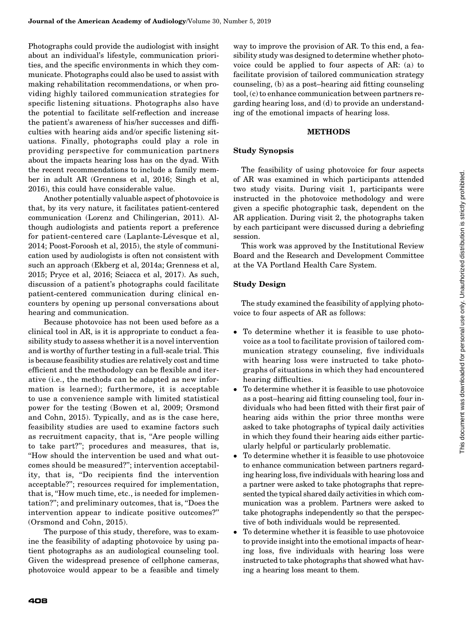Photographs could provide the audiologist with insight about an individual's lifestyle, communication priorities, and the specific environments in which they communicate. Photographs could also be used to assist with making rehabilitation recommendations, or when providing highly tailored communication strategies for specific listening situations. Photographs also have the potential to facilitate self-reflection and increase the patient's awareness of his/her successes and difficulties with hearing aids and/or specific listening situations. Finally, photographs could play a role in providing perspective for communication partners about the impacts hearing loss has on the dyad. With the recent recommendations to include a family member in adult AR (Grenness et al, 2016; Singh et al, 2016), this could have considerable value.

Another potentially valuable aspect of photovoice is that, by its very nature, it facilitates patient-centered communication (Lorenz and Chilingerian, 2011). Although audiologists and patients report a preference for patient-centered care (Laplante-Lévesque et al, 2014; Poost-Foroosh et al, 2015), the style of communication used by audiologists is often not consistent with such an approach (Ekberg et al, 2014a; Grenness et al, 2015; Pryce et al, 2016; Sciacca et al, 2017). As such, discussion of a patient's photographs could facilitate patient-centered communication during clinical encounters by opening up personal conversations about hearing and communication.

Because photovoice has not been used before as a clinical tool in AR, is it is appropriate to conduct a feasibility study to assess whether it is a novel intervention and is worthy of further testing in a full-scale trial. This is because feasibility studies are relatively cost and time efficient and the methodology can be flexible and iterative (i.e., the methods can be adapted as new information is learned); furthermore, it is acceptable to use a convenience sample with limited statistical power for the testing (Bowen et al, 2009; Orsmond and Cohn, 2015). Typically, and as is the case here, feasibility studies are used to examine factors such as recruitment capacity, that is, ''Are people willing to take part?''; procedures and measures, that is, ''How should the intervention be used and what outcomes should be measured?''; intervention acceptability, that is, ''Do recipients find the intervention acceptable?''; resources required for implementation, that is, ''How much time, etc., is needed for implementation?''; and preliminary outcomes, that is, ''Does the intervention appear to indicate positive outcomes?'' (Orsmond and Cohn, 2015).

The purpose of this study, therefore, was to examine the feasibility of adapting photovoice by using patient photographs as an audiological counseling tool. Given the widespread presence of cellphone cameras, photovoice would appear to be a feasible and timely way to improve the provision of AR. To this end, a feasibility study was designed to determine whether photovoice could be applied to four aspects of AR: (a) to facilitate provision of tailored communication strategy counseling, (b) as a post–hearing aid fitting counseling tool, (c) to enhance communication between partners regarding hearing loss, and (d) to provide an understanding of the emotional impacts of hearing loss.

#### METHODS

#### Study Synopsis

The feasibility of using photovoice for four aspects of AR was examined in which participants attended two study visits. During visit 1, participants were instructed in the photovoice methodology and were given a specific photographic task, dependent on the AR application. During visit 2, the photographs taken by each participant were discussed during a debriefing session.

This work was approved by the Institutional Review Board and the Research and Development Committee at the VA Portland Health Care System.

## Study Design

The study examined the feasibility of applying photovoice to four aspects of AR as follows:

- To determine whether it is feasible to use photovoice as a tool to facilitate provision of tailored communication strategy counseling, five individuals with hearing loss were instructed to take photographs of situations in which they had encountered hearing difficulties.
- To determine whether it is feasible to use photovoice as a post–hearing aid fitting counseling tool, four individuals who had been fitted with their first pair of hearing aids within the prior three months were asked to take photographs of typical daily activities in which they found their hearing aids either particularly helpful or particularly problematic.
- To determine whether it is feasible to use photovoice to enhance communication between partners regarding hearing loss, five individuals with hearing loss and a partner were asked to take photographs that represented the typical shared daily activities in which communication was a problem. Partners were asked to take photographs independently so that the perspective of both individuals would be represented.
- To determine whether it is feasible to use photovoice to provide insight into the emotional impacts of hearing loss, five individuals with hearing loss were instructed to take photographs that showed what having a hearing loss meant to them.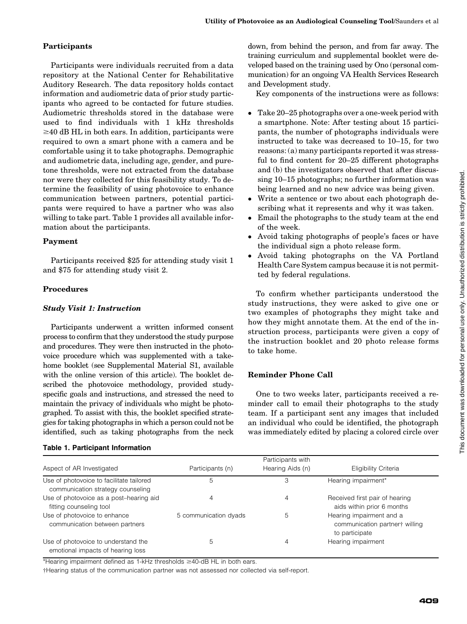# Participants

Participants were individuals recruited from a data repository at the National Center for Rehabilitative Auditory Research. The data repository holds contact information and audiometric data of prior study participants who agreed to be contacted for future studies. Audiometric thresholds stored in the database were used to find individuals with 1 kHz thresholds  $\geq$ 40 dB HL in both ears. In addition, participants were required to own a smart phone with a camera and be comfortable using it to take photographs. Demographic and audiometric data, including age, gender, and puretone thresholds, were not extracted from the database nor were they collected for this feasibility study. To determine the feasibility of using photovoice to enhance communication between partners, potential participants were required to have a partner who was also willing to take part. Table 1 provides all available information about the participants.

## Payment

Participants received \$25 for attending study visit 1 and \$75 for attending study visit 2.

#### Procedures

## Study Visit 1: Instruction

Participants underwent a written informed consent process to confirm that they understood the study purpose and procedures. They were then instructed in the photovoice procedure which was supplemented with a takehome booklet (see Supplemental Material S1, available with the online version of this article). The booklet described the photovoice methodology, provided studyspecific goals and instructions, and stressed the need to maintain the privacy of individuals who might be photographed. To assist with this, the booklet specified strategies for taking photographs in which a person could not be identified, such as taking photographs from the neck

#### Table 1. Participant Information

down, from behind the person, and from far away. The training curriculum and supplemental booklet were developed based on the training used by Ono (personal communication) for an ongoing VA Health Services Research and Development study.

Key components of the instructions were as follows:

- Take 20–25 photographs over a one-week period with a smartphone. Note: After testing about 15 participants, the number of photographs individuals were instructed to take was decreased to 10–15, for two reasons: (a) many participants reported it was stressful to find content for 20–25 different photographs and (b) the investigators observed that after discussing 10–15 photographs; no further information was being learned and no new advice was being given.
- Write a sentence or two about each photograph describing what it represents and why it was taken.
- Email the photographs to the study team at the end of the week.
- Avoid taking photographs of people's faces or have the individual sign a photo release form.
- Avoid taking photographs on the VA Portland Health Care System campus because it is not permitted by federal regulations.

To confirm whether participants understood the study instructions, they were asked to give one or two examples of photographs they might take and how they might annotate them. At the end of the instruction process, participants were given a copy of the instruction booklet and 20 photo release forms to take home.

# Reminder Phone Call

One to two weeks later, participants received a reminder call to email their photographs to the study team. If a participant sent any images that included an individual who could be identified, the photograph was immediately edited by placing a colored circle over

|                                                                               |                       | Participants with |                                                                              |
|-------------------------------------------------------------------------------|-----------------------|-------------------|------------------------------------------------------------------------------|
| Aspect of AR Investigated                                                     | Participants (n)      | Hearing Aids (n)  | Eligibility Criteria                                                         |
| Use of photovoice to facilitate tailored<br>communication strategy counseling | 5                     | З                 | Hearing impairment*                                                          |
| Use of photovoice as a post-hearing aid<br>fitting counseling tool            | 4                     | 4                 | Received first pair of hearing<br>aids within prior 6 months                 |
| Use of photovoice to enhance<br>communication between partners                | 5 communication dyads | 5                 | Hearing impairment and a<br>communication partner† willing<br>to participate |
| Use of photovoice to understand the<br>emotional impacts of hearing loss      | 5                     |                   | Hearing impairment                                                           |

\*Hearing impairment defined as 1-kHz thresholds  $\geq$ 40-dB HL in both ears.

†Hearing status of the communication partner was not assessed nor collected via self-report.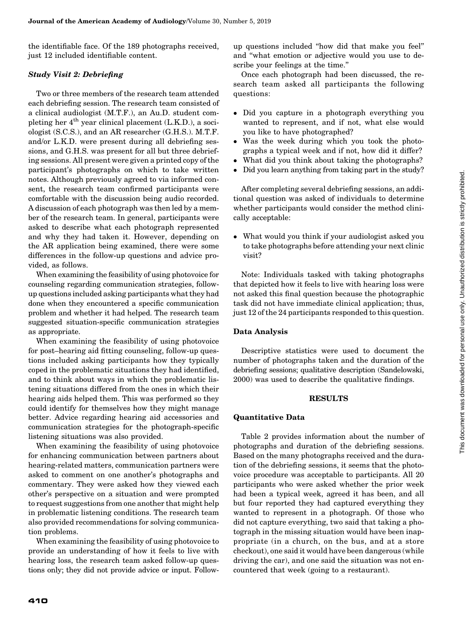the identifiable face. Of the 189 photographs received, just 12 included identifiable content.

## Study Visit 2: Debriefing

Two or three members of the research team attended each debriefing session. The research team consisted of a clinical audiologist (M.T.F.), an Au.D. student completing her  $4<sup>th</sup>$  year clinical placement (L.K.D.), a sociologist (S.C.S.), and an AR researcher (G.H.S.). M.T.F. and/or L.K.D. were present during all debriefing sessions, and G.H.S. was present for all but three debriefing sessions. All present were given a printed copy of the participant's photographs on which to take written notes. Although previously agreed to via informed consent, the research team confirmed participants were comfortable with the discussion being audio recorded. A discussion of each photograph was then led by a member of the research team. In general, participants were asked to describe what each photograph represented and why they had taken it. However, depending on the AR application being examined, there were some differences in the follow-up questions and advice provided, as follows.

When examining the feasibility of using photovoice for counseling regarding communication strategies, followup questions included asking participants what they had done when they encountered a specific communication problem and whether it had helped. The research team suggested situation-specific communication strategies as appropriate.

When examining the feasibility of using photovoice for post–hearing aid fitting counseling, follow-up questions included asking participants how they typically coped in the problematic situations they had identified, and to think about ways in which the problematic listening situations differed from the ones in which their hearing aids helped them. This was performed so they could identify for themselves how they might manage better. Advice regarding hearing aid accessories and communication strategies for the photograph-specific listening situations was also provided.

When examining the feasibility of using photovoice for enhancing communication between partners about hearing-related matters, communication partners were asked to comment on one another's photographs and commentary. They were asked how they viewed each other's perspective on a situation and were prompted to request suggestions from one another that might help in problematic listening conditions. The research team also provided recommendations for solving communication problems.

When examining the feasibility of using photovoice to provide an understanding of how it feels to live with hearing loss, the research team asked follow-up questions only; they did not provide advice or input. Followup questions included ''how did that make you feel'' and ''what emotion or adjective would you use to describe your feelings at the time.''

Once each photograph had been discussed, the research team asked all participants the following questions:

- Did you capture in a photograph everything you wanted to represent, and if not, what else would you like to have photographed?
- Was the week during which you took the photographs a typical week and if not, how did it differ?
- What did you think about taking the photographs?
- Did you learn anything from taking part in the study?

After completing several debriefing sessions, an additional question was asked of individuals to determine whether participants would consider the method clinically acceptable:

 What would you think if your audiologist asked you to take photographs before attending your next clinic visit?

Note: Individuals tasked with taking photographs that depicted how it feels to live with hearing loss were not asked this final question because the photographic task did not have immediate clinical application; thus, just 12 of the 24 participants responded to this question.

#### Data Analysis

Descriptive statistics were used to document the number of photographs taken and the duration of the debriefing sessions; qualitative description (Sandelowski, 2000) was used to describe the qualitative findings.

#### RESULTS

#### Quantitative Data

Table 2 provides information about the number of photographs and duration of the debriefing sessions. Based on the many photographs received and the duration of the debriefing sessions, it seems that the photovoice procedure was acceptable to participants. All 20 participants who were asked whether the prior week had been a typical week, agreed it has been, and all but four reported they had captured everything they wanted to represent in a photograph. Of those who did not capture everything, two said that taking a photograph in the missing situation would have been inappropriate (in a church, on the bus, and at a store checkout), one said it would have been dangerous (while driving the car), and one said the situation was not encountered that week (going to a restaurant).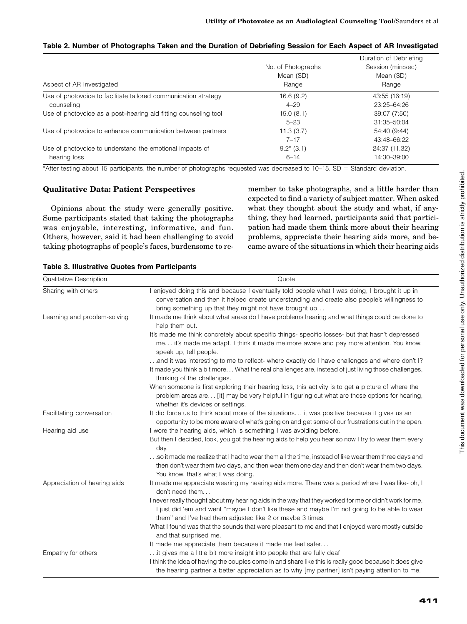| Aspect of AR Investigated                                       | No. of Photographs<br>Mean (SD)<br>Range | Duration of Debriefing<br>Session (min:sec)<br>Mean (SD)<br>Range |
|-----------------------------------------------------------------|------------------------------------------|-------------------------------------------------------------------|
| Use of photovoice to facilitate tailored communication strategy | 16.6(9.2)                                | 43:55 (16:19)                                                     |
| counseling                                                      | $4 - 29$                                 | 23:25-64:26                                                       |
| Use of photovoice as a post-hearing aid fitting counseling tool | 15.0(8.1)                                | 39:07 (7:50)                                                      |
|                                                                 | $5 - 23$                                 | 31:35-50:04                                                       |
| Use of photovoice to enhance communication between partners     | 11.3(3.7)                                | 54:40 (9:44)                                                      |
|                                                                 | $7 - 17$                                 | 43:48-66:22                                                       |
| Use of photovoice to understand the emotional impacts of        | $9.2^*(3.1)$                             | 24:37 (11.32)                                                     |
| hearing loss                                                    | $6 - 14$                                 | 14:30-39:00                                                       |

## Table 2. Number of Photographs Taken and the Duration of Debriefing Session for Each Aspect of AR Investigated

\*After testing about 15 participants, the number of photographs requested was decreased to  $10-15$ .  $SD =$  Standard deviation.

## Qualitative Data: Patient Perspectives

Opinions about the study were generally positive. Some participants stated that taking the photographs was enjoyable, interesting, informative, and fun. Others, however, said it had been challenging to avoid taking photographs of people's faces, burdensome to remember to take photographs, and a little harder than expected to find a variety of subject matter. When asked what they thought about the study and what, if anything, they had learned, participants said that participation had made them think more about their hearing problems, appreciate their hearing aids more, and became aware of the situations in which their hearing aids

| Qualitative Description      | Quote                                                                                                                                                                                                                                                                                                                                                                                                                                                                                                                                                                              |
|------------------------------|------------------------------------------------------------------------------------------------------------------------------------------------------------------------------------------------------------------------------------------------------------------------------------------------------------------------------------------------------------------------------------------------------------------------------------------------------------------------------------------------------------------------------------------------------------------------------------|
| Sharing with others          | I enjoyed doing this and because I eventually told people what I was doing, I brought it up in<br>conversation and then it helped create understanding and create also people's willingness to<br>bring something up that they might not have brought up                                                                                                                                                                                                                                                                                                                           |
| Learning and problem-solving | It made me think about what areas do I have problems hearing and what things could be done to<br>help them out.                                                                                                                                                                                                                                                                                                                                                                                                                                                                    |
|                              | It's made me think concretely about specific things- specific losses- but that hasn't depressed<br>me it's made me adapt. I think it made me more aware and pay more attention. You know,<br>speak up, tell people.                                                                                                                                                                                                                                                                                                                                                                |
|                              | and it was interesting to me to reflect- where exactly do I have challenges and where don't I?<br>It made you think a bit more What the real challenges are, instead of just living those challenges,<br>thinking of the challenges.                                                                                                                                                                                                                                                                                                                                               |
|                              | When someone is first exploring their hearing loss, this activity is to get a picture of where the<br>problem areas are [it] may be very helpful in figuring out what are those options for hearing,<br>whether it's devices or settings.                                                                                                                                                                                                                                                                                                                                          |
| Facilitating conversation    | It did force us to think about more of the situations it was positive because it gives us an<br>opportunity to be more aware of what's going on and get some of our frustrations out in the open.                                                                                                                                                                                                                                                                                                                                                                                  |
| Hearing aid use              | I wore the hearing aids, which is something I was avoiding before.<br>But then I decided, look, you got the hearing aids to help you hear so now I try to wear them every<br>day.<br>so it made me realize that I had to wear them all the time, instead of like wear them three days and<br>then don't wear them two days, and then wear them one day and then don't wear them two days.<br>You know, that's what I was doing.                                                                                                                                                    |
| Appreciation of hearing aids | It made me appreciate wearing my hearing aids more. There was a period where I was like- oh, I<br>don't need them<br>I never really thought about my hearing aids in the way that they worked for me or didn't work for me,<br>I just did 'em and went "maybe I don't like these and maybe I'm not going to be able to wear<br>them" and I've had them adjusted like 2 or maybe 3 times.<br>What I found was that the sounds that were pleasant to me and that I enjoyed were mostly outside<br>and that surprised me.<br>It made me appreciate them because it made me feel safer |
| Empathy for others           | it gives me a little bit more insight into people that are fully deaf<br>I think the idea of having the couples come in and share like this is really good because it does give<br>the hearing partner a better appreciation as to why [my partner] isn't paying attention to me.                                                                                                                                                                                                                                                                                                  |

#### Table 3. Illustrative Quotes from Participants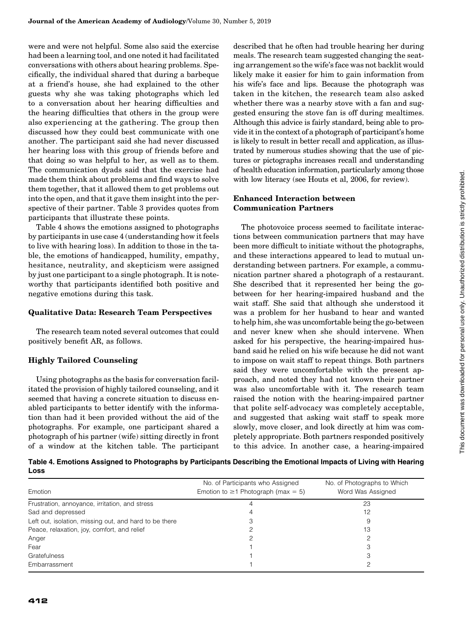were and were not helpful. Some also said the exercise had been a learning tool, and one noted it had facilitated conversations with others about hearing problems. Specifically, the individual shared that during a barbeque at a friend's house, she had explained to the other guests why she was taking photographs which led to a conversation about her hearing difficulties and the hearing difficulties that others in the group were also experiencing at the gathering. The group then discussed how they could best communicate with one another. The participant said she had never discussed her hearing loss with this group of friends before and that doing so was helpful to her, as well as to them. The communication dyads said that the exercise had made them think about problems and find ways to solve them together, that it allowed them to get problems out into the open, and that it gave them insight into the perspective of their partner. Table 3 provides quotes from participants that illustrate these points.

Table 4 shows the emotions assigned to photographs by participants in use case 4 (understanding how it feels to live with hearing loss). In addition to those in the table, the emotions of handicapped, humility, empathy, hesitance, neutrality, and skepticism were assigned by just one participant to a single photograph. It is noteworthy that participants identified both positive and negative emotions during this task.

#### Qualitative Data: Research Team Perspectives

The research team noted several outcomes that could positively benefit AR, as follows.

# Highly Tailored Counseling

Using photographs as the basis for conversation facilitated the provision of highly tailored counseling, and it seemed that having a concrete situation to discuss enabled participants to better identify with the information than had it been provided without the aid of the photographs. For example, one participant shared a photograph of his partner (wife) sitting directly in front of a window at the kitchen table. The participant described that he often had trouble hearing her during meals. The research team suggested changing the seating arrangement so the wife's face was not backlit would likely make it easier for him to gain information from his wife's face and lips. Because the photograph was taken in the kitchen, the research team also asked whether there was a nearby stove with a fan and suggested ensuring the stove fan is off during mealtimes. Although this advice is fairly standard, being able to provide it in the context of a photograph of participant's home is likely to result in better recall and application, as illustrated by numerous studies showing that the use of pictures or pictographs increases recall and understanding of health education information, particularly among those with low literacy (see Houts et al, 2006, for review).

# Enhanced Interaction between Communication Partners

The photovoice process seemed to facilitate interactions between communication partners that may have been more difficult to initiate without the photographs, and these interactions appeared to lead to mutual understanding between partners. For example, a communication partner shared a photograph of a restaurant. She described that it represented her being the gobetween for her hearing-impaired husband and the wait staff. She said that although she understood it was a problem for her husband to hear and wanted to help him, she was uncomfortable being the go-between and never knew when she should intervene. When asked for his perspective, the hearing-impaired husband said he relied on his wife because he did not want to impose on wait staff to repeat things. Both partners said they were uncomfortable with the present approach, and noted they had not known their partner was also uncomfortable with it. The research team raised the notion with the hearing-impaired partner that polite self-advocacy was completely acceptable, and suggested that asking wait staff to speak more slowly, move closer, and look directly at him was completely appropriate. Both partners responded positively to this advice. In another case, a hearing-impaired

Table 4. Emotions Assigned to Photographs by Participants Describing the Emotional Impacts of Living with Hearing Loss

| Emotion                                                | No. of Participants who Assigned<br>Emotion to $\geq$ 1 Photograph (max = 5) | No. of Photographs to Which<br>Word Was Assigned |
|--------------------------------------------------------|------------------------------------------------------------------------------|--------------------------------------------------|
| Frustration, annoyance, irritation, and stress         |                                                                              | 23                                               |
| Sad and depressed                                      |                                                                              | 12                                               |
| Left out, isolation, missing out, and hard to be there |                                                                              |                                                  |
| Peace, relaxation, joy, comfort, and relief            |                                                                              | 13                                               |
| Anger                                                  |                                                                              |                                                  |
| Fear                                                   |                                                                              |                                                  |
| Gratefulness                                           |                                                                              |                                                  |
| Embarrassment                                          |                                                                              |                                                  |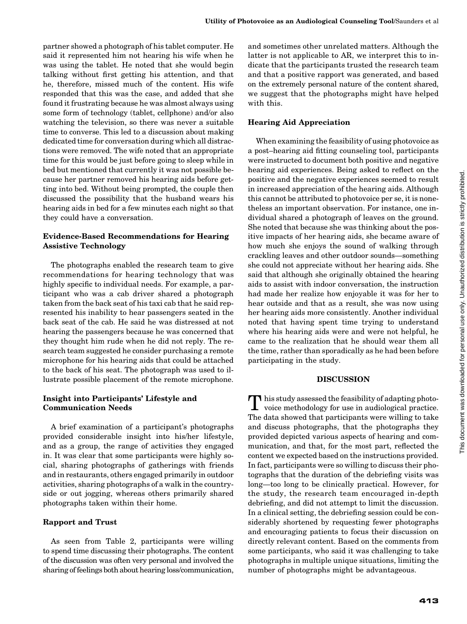partner showed a photograph of his tablet computer. He said it represented him not hearing his wife when he was using the tablet. He noted that she would begin talking without first getting his attention, and that he, therefore, missed much of the content. His wife responded that this was the case, and added that she found it frustrating because he was almost always using some form of technology (tablet, cellphone) and/or also watching the television, so there was never a suitable time to converse. This led to a discussion about making dedicated time for conversation during which all distractions were removed. The wife noted that an appropriate time for this would be just before going to sleep while in bed but mentioned that currently it was not possible because her partner removed his hearing aids before getting into bed. Without being prompted, the couple then discussed the possibility that the husband wears his hearing aids in bed for a few minutes each night so that they could have a conversation.

#### Evidence-Based Recommendations for Hearing Assistive Technology

The photographs enabled the research team to give recommendations for hearing technology that was highly specific to individual needs. For example, a participant who was a cab driver shared a photograph taken from the back seat of his taxi cab that he said represented his inability to hear passengers seated in the back seat of the cab. He said he was distressed at not hearing the passengers because he was concerned that they thought him rude when he did not reply. The research team suggested he consider purchasing a remote microphone for his hearing aids that could be attached to the back of his seat. The photograph was used to illustrate possible placement of the remote microphone.

#### Insight into Participants' Lifestyle and Communication Needs

A brief examination of a participant's photographs provided considerable insight into his/her lifestyle, and as a group, the range of activities they engaged in. It was clear that some participants were highly social, sharing photographs of gatherings with friends and in restaurants, others engaged primarily in outdoor activities, sharing photographs of a walk in the countryside or out jogging, whereas others primarily shared photographs taken within their home.

#### Rapport and Trust

As seen from Table 2, participants were willing to spend time discussing their photographs. The content of the discussion was often very personal and involved the sharing of feelings both about hearing loss/communication,

and sometimes other unrelated matters. Although the latter is not applicable to AR, we interpret this to indicate that the participants trusted the research team and that a positive rapport was generated, and based on the extremely personal nature of the content shared, we suggest that the photographs might have helped with this.

#### Hearing Aid Appreciation

When examining the feasibility of using photovoice as a post–hearing aid fitting counseling tool, participants were instructed to document both positive and negative hearing aid experiences. Being asked to reflect on the positive and the negative experiences seemed to result in increased appreciation of the hearing aids. Although this cannot be attributed to photovoice per se, it is nonetheless an important observation. For instance, one individual shared a photograph of leaves on the ground. She noted that because she was thinking about the positive impacts of her hearing aids, she became aware of how much she enjoys the sound of walking through crackling leaves and other outdoor sounds—something she could not appreciate without her hearing aids. She said that although she originally obtained the hearing aids to assist with indoor conversation, the instruction had made her realize how enjoyable it was for her to hear outside and that as a result, she was now using her hearing aids more consistently. Another individual noted that having spent time trying to understand where his hearing aids were and were not helpful, he came to the realization that he should wear them all the time, rather than sporadically as he had been before participating in the study.

#### DISCUSSION

**T** his study assessed the feasibility of adapting photovoice methodology for use in audiological practice. The data showed that participants were willing to take and discuss photographs, that the photographs they provided depicted various aspects of hearing and communication, and that, for the most part, reflected the content we expected based on the instructions provided. In fact, participants were so willing to discuss their photographs that the duration of the debriefing visits was long—too long to be clinically practical. However, for the study, the research team encouraged in-depth debriefing, and did not attempt to limit the discussion. In a clinical setting, the debriefing session could be considerably shortened by requesting fewer photographs and encouraging patients to focus their discussion on directly relevant content. Based on the comments from some participants, who said it was challenging to take photographs in multiple unique situations, limiting the number of photographs might be advantageous.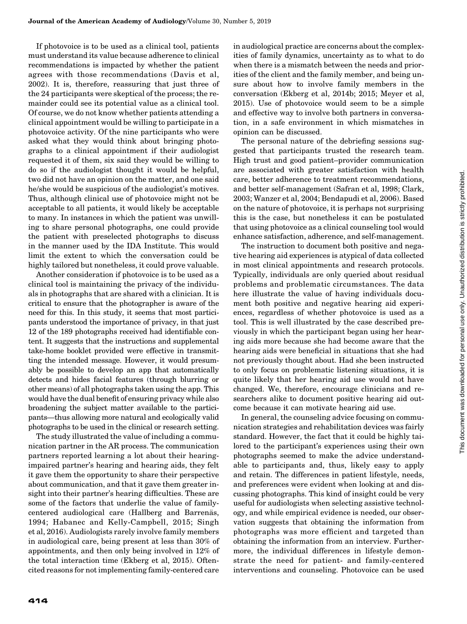If photovoice is to be used as a clinical tool, patients must understand its value because adherence to clinical recommendations is impacted by whether the patient agrees with those recommendations (Davis et al, 2002). It is, therefore, reassuring that just three of the 24 participants were skeptical of the process; the remainder could see its potential value as a clinical tool. Of course, we do not know whether patients attending a clinical appointment would be willing to participate in a photovoice activity. Of the nine participants who were asked what they would think about bringing photographs to a clinical appointment if their audiologist requested it of them, six said they would be willing to do so if the audiologist thought it would be helpful, two did not have an opinion on the matter, and one said he/she would be suspicious of the audiologist's motives. Thus, although clinical use of photovoice might not be acceptable to all patients, it would likely be acceptable to many. In instances in which the patient was unwilling to share personal photographs, one could provide the patient with preselected photographs to discuss in the manner used by the IDA Institute. This would limit the extent to which the conversation could be highly tailored but nonetheless, it could prove valuable.

Another consideration if photovoice is to be used as a clinical tool is maintaining the privacy of the individuals in photographs that are shared with a clinician. It is critical to ensure that the photographer is aware of the need for this. In this study, it seems that most participants understood the importance of privacy, in that just 12 of the 189 photographs received had identifiable content. It suggests that the instructions and supplemental take-home booklet provided were effective in transmitting the intended message. However, it would presumably be possible to develop an app that automatically detects and hides facial features (through blurring or other means) of all photographs taken using the app. This would have the dual benefit of ensuring privacy while also broadening the subject matter available to the participants—thus allowing more natural and ecologically valid photographs to be used in the clinical or research setting.

The study illustrated the value of including a communication partner in the AR process. The communication partners reported learning a lot about their hearingimpaired partner's hearing and hearing aids, they felt it gave them the opportunity to share their perspective about communication, and that it gave them greater insight into their partner's hearing difficulties. These are some of the factors that underlie the value of familycentered audiological care (Hallberg and Barrenas, 1994; Habanec and Kelly-Campbell, 2015; Singh et al, 2016). Audiologists rarely involve family members in audiological care, being present at less than 30% of appointments, and then only being involved in 12% of the total interaction time (Ekberg et al, 2015). Oftencited reasons for not implementing family-centered care

in audiological practice are concerns about the complexities of family dynamics, uncertainty as to what to do when there is a mismatch between the needs and priorities of the client and the family member, and being unsure about how to involve family members in the conversation (Ekberg et al, 2014b; 2015; Meyer et al, 2015). Use of photovoice would seem to be a simple and effective way to involve both partners in conversation, in a safe environment in which mismatches in opinion can be discussed.

The personal nature of the debriefing sessions suggested that participants trusted the research team. High trust and good patient–provider communication are associated with greater satisfaction with health care, better adherence to treatment recommendations, and better self-management (Safran et al, 1998; Clark, 2003; Wanzer et al, 2004; Bendapudi et al, 2006). Based on the nature of photovoice, it is perhaps not surprising this is the case, but nonetheless it can be postulated that using photovoice as a clinical counseling tool would enhance satisfaction, adherence, and self-management.

The instruction to document both positive and negative hearing aid experiences is atypical of data collected in most clinical appointments and research protocols. Typically, individuals are only queried about residual problems and problematic circumstances. The data here illustrate the value of having individuals document both positive and negative hearing aid experiences, regardless of whether photovoice is used as a tool. This is well illustrated by the case described previously in which the participant began using her hearing aids more because she had become aware that the hearing aids were beneficial in situations that she had not previously thought about. Had she been instructed to only focus on problematic listening situations, it is quite likely that her hearing aid use would not have changed. We, therefore, encourage clinicians and researchers alike to document positive hearing aid outcome because it can motivate hearing aid use.

In general, the counseling advice focusing on communication strategies and rehabilitation devices was fairly standard. However, the fact that it could be highly tailored to the participant's experiences using their own photographs seemed to make the advice understandable to participants and, thus, likely easy to apply and retain. The differences in patient lifestyle, needs, and preferences were evident when looking at and discussing photographs. This kind of insight could be very useful for audiologists when selecting assistive technology, and while empirical evidence is needed, our observation suggests that obtaining the information from photographs was more efficient and targeted than obtaining the information from an interview. Furthermore, the individual differences in lifestyle demonstrate the need for patient- and family-centered interventions and counseling. Photovoice can be used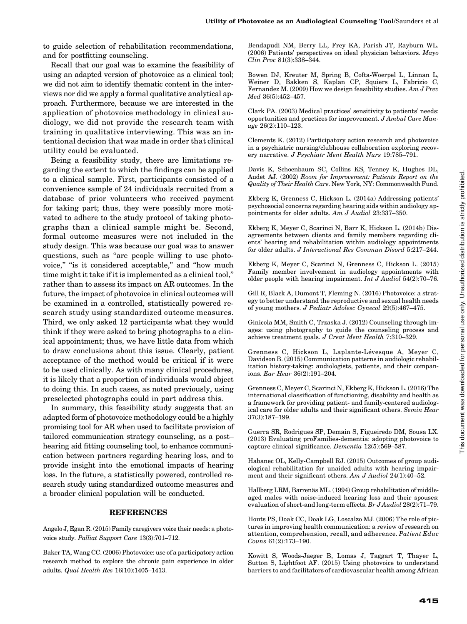to guide selection of rehabilitation recommendations, and for postfitting counseling.

Recall that our goal was to examine the feasibility of using an adapted version of photovoice as a clinical tool; we did not aim to identify thematic content in the interviews nor did we apply a formal qualitative analytical approach. Furthermore, because we are interested in the application of photovoice methodology in clinical audiology, we did not provide the research team with training in qualitative interviewing. This was an intentional decision that was made in order that clinical utility could be evaluated.

Being a feasibility study, there are limitations regarding the extent to which the findings can be applied to a clinical sample. First, participants consisted of a convenience sample of 24 individuals recruited from a database of prior volunteers who received payment for taking part; thus, they were possibly more motivated to adhere to the study protocol of taking photographs than a clinical sample might be. Second, formal outcome measures were not included in the study design. This was because our goal was to answer questions, such as ''are people willing to use photovoice," "is it considered acceptable," and "how much time might it take if it is implemented as a clinical tool,'' rather than to assess its impact on AR outcomes. In the future, the impact of photovoice in clinical outcomes will be examined in a controlled, statistically powered research study using standardized outcome measures. Third, we only asked 12 participants what they would think if they were asked to bring photographs to a clinical appointment; thus, we have little data from which to draw conclusions about this issue. Clearly, patient acceptance of the method would be critical if it were to be used clinically. As with many clinical procedures, it is likely that a proportion of individuals would object to doing this. In such cases, as noted previously, using preselected photographs could in part address this.

In summary, this feasibility study suggests that an adapted form of photovoice methodology could be a highly promising tool for AR when used to facilitate provision of tailored communication strategy counseling, as a post– hearing aid fitting counseling tool, to enhance communication between partners regarding hearing loss, and to provide insight into the emotional impacts of hearing loss. In the future, a statistically powered, controlled research study using standardized outcome measures and a broader clinical population will be conducted.

#### REFERENCES

Angelo J, Egan R. (2015) Family caregivers voice their needs: a photovoice study. Palliat Support Care 13(3):701–712.

Baker TA, Wang CC. (2006) Photovoice: use of a participatory action research method to explore the chronic pain experience in older adults. Qual Health Res 16(10):1405–1413.

Bendapudi NM, Berry LL, Frey KA, Parish JT, Rayburn WL. (2006) Patients' perspectives on ideal physician behaviors. Mayo Clin Proc 81(3):338–344.

Bowen DJ, Kreuter M, Spring B, Cofta-Woerpel L, Linnan L, Weiner D, Bakken S, Kaplan CP, Squiers L, Fabrizio C, Fernandez M. (2009) How we design feasibility studies. Am J Prev Med 36(5):452–457.

Clark PA. (2003) Medical practices' sensitivity to patients' needs: opportunities and practices for improvement. J Ambul Care Manage 26(2):110–123.

Clements K. (2012) Participatory action research and photovoice in a psychiatric nursing/clubhouse collaboration exploring recovery narrative. J Psychiatr Ment Health Nurs 19:785–791.

Davis K, Schoenbaum SC, Collins KS, Tenney K, Hughes DL, Audet AJ. (2002) Room for Improvement: Patients Report on the Quality of Their Health Care. New York, NY: Commonwealth Fund.

Ekberg K, Grenness C, Hickson L. (2014a) Addressing patients' psychosocial concerns regarding hearing aids within audiology appointments for older adults. Am J Audiol 23:337–350.

Ekberg K, Meyer C, Scarinci N, Barr K, Hickson L. (2014b) Disagreements between clients and family members regarding clients' hearing and rehabilitation within audiology appointments for older adults. J Interactional Res Commun Disord 5:217–244.

Ekberg K, Meyer C, Scarinci N, Grenness C, Hickson L. (2015) Family member involvement in audiology appointments with older people with hearing impairment. Int J Audiol 54(2):70–76.

Gill R, Black A, Dumont T, Fleming N. (2016) Photovoice: a strategy to better understand the reproductive and sexual health needs of young mothers. J Pediatr Adolesc Gynecol 29(5):467–475.

Ginicola MM, Smith C, Trzaska J. (2012) Counseling through images: using photography to guide the counseling process and achieve treatment goals. J Creat Ment Health 7:310–329.

Grenness C, Hickson L, Laplante-Levesque A, Meyer C, ´ Davidson B. (2015) Communication patterns in audiologic rehabilitation history-taking: audiologists, patients, and their companions. Ear Hear 36(2):191–204.

Grenness C, Meyer C, Scarinci N, Ekberg K, Hickson L. (2016) The international classification of functioning, disability and health as a framework for providing patient- and family-centered audiological care for older adults and their significant others. Semin Hear 37(3):187–199.

Guerra SR, Rodrigues SP, Demain S, Figueiredo DM, Sousa LX. (2013) Evaluating proFamilies-dementia: adopting photovoice to capture clinical significance. Dementia 12(5):569–587.

Habanec OL, Kelly-Campbell RJ. (2015) Outcomes of group audiological rehabilitation for unaided adults with hearing impairment and their significant others. Am J Audiol 24(1):40-52.

Hallberg LRM, Barrenäs ML. (1994) Group rehabilitation of middleaged males with noise-induced hearing loss and their spouses: evaluation of short-and long-term effects. Br J Audiol 28(2):71–79.

Houts PS, Doak CC, Doak LG, Loscalzo MJ. (2006) The role of pictures in improving health communication: a review of research on attention, comprehension, recall, and adherence. Patient Educ Couns 61(2):173–190.

Kowitt S, Woods-Jaeger B, Lomas J, Taggart T, Thayer L, Sutton S, Lightfoot AF. (2015) Using photovoice to understand barriers to and facilitators of cardiovascular health among African